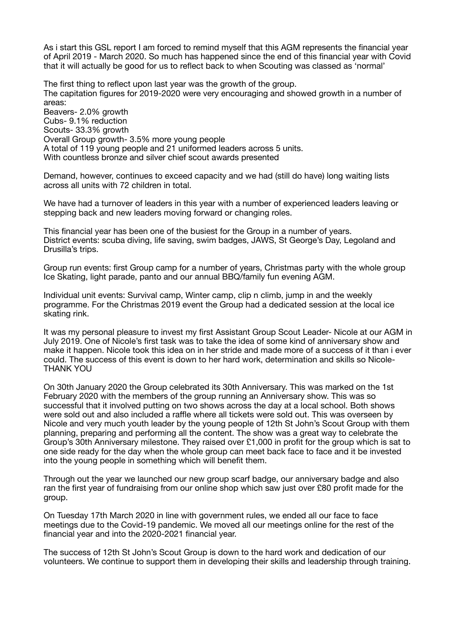As i start this GSL report I am forced to remind myself that this AGM represents the financial year of April 2019 - March 2020. So much has happened since the end of this financial year with Covid that it will actually be good for us to reflect back to when Scouting was classed as 'normal'

The first thing to reflect upon last year was the growth of the group. The capitation figures for 2019-2020 were very encouraging and showed growth in a number of areas: Beavers- 2.0% growth Cubs- 9.1% reduction Scouts- 33.3% growth Overall Group growth- 3.5% more young people A total of 119 young people and 21 uniformed leaders across 5 units. With countless bronze and silver chief scout awards presented

Demand, however, continues to exceed capacity and we had (still do have) long waiting lists across all units with 72 children in total.

We have had a turnover of leaders in this year with a number of experienced leaders leaving or stepping back and new leaders moving forward or changing roles.

This financial year has been one of the busiest for the Group in a number of years. District events: scuba diving, life saving, swim badges, JAWS, St George's Day, Legoland and Drusilla's trips.

Group run events: first Group camp for a number of years, Christmas party with the whole group Ice Skating, light parade, panto and our annual BBQ/family fun evening AGM.

Individual unit events: Survival camp, Winter camp, clip n climb, jump in and the weekly programme. For the Christmas 2019 event the Group had a dedicated session at the local ice skating rink.

It was my personal pleasure to invest my first Assistant Group Scout Leader- Nicole at our AGM in July 2019. One of Nicole's first task was to take the idea of some kind of anniversary show and make it happen. Nicole took this idea on in her stride and made more of a success of it than i ever could. The success of this event is down to her hard work, determination and skills so Nicole-THANK YOU

On 30th January 2020 the Group celebrated its 30th Anniversary. This was marked on the 1st February 2020 with the members of the group running an Anniversary show. This was so successful that it involved putting on two shows across the day at a local school. Both shows were sold out and also included a raffle where all tickets were sold out. This was overseen by Nicole and very much youth leader by the young people of 12th St John's Scout Group with them planning, preparing and performing all the content. The show was a great way to celebrate the Group's 30th Anniversary milestone. They raised over £1,000 in profit for the group which is sat to one side ready for the day when the whole group can meet back face to face and it be invested into the young people in something which will benefit them.

Through out the year we launched our new group scarf badge, our anniversary badge and also ran the first year of fundraising from our online shop which saw just over £80 profit made for the group.

On Tuesday 17th March 2020 in line with government rules, we ended all our face to face meetings due to the Covid-19 pandemic. We moved all our meetings online for the rest of the financial year and into the 2020-2021 financial year.

The success of 12th St John's Scout Group is down to the hard work and dedication of our volunteers. We continue to support them in developing their skills and leadership through training.